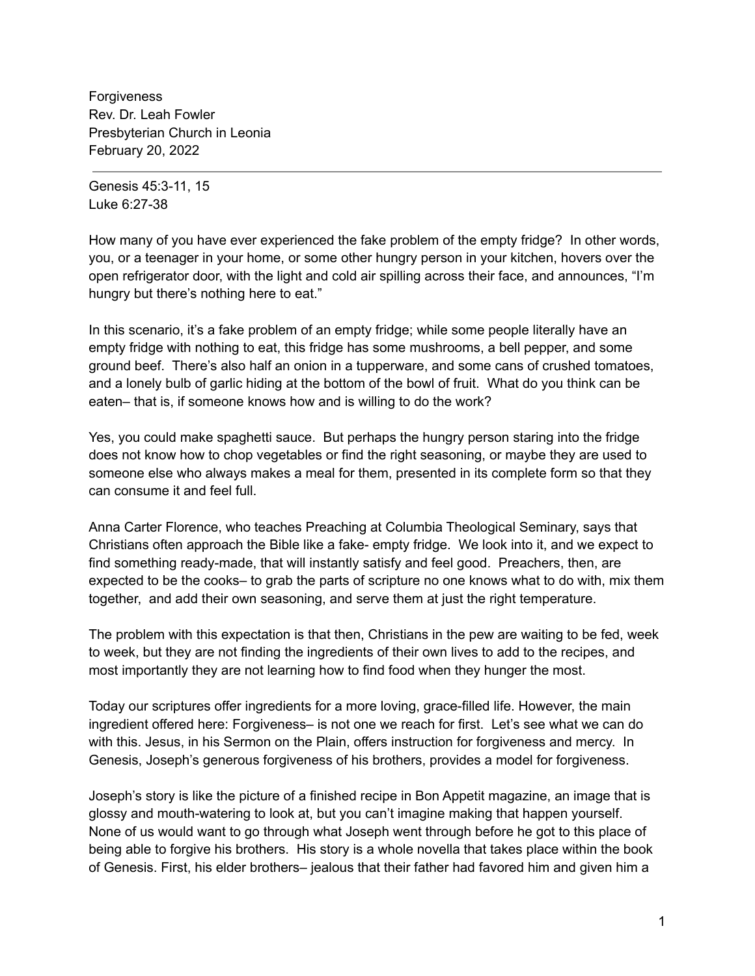Forgiveness Rev. Dr. Leah Fowler Presbyterian Church in Leonia February 20, 2022

Genesis 45:3-11, 15 Luke 6:27-38

How many of you have ever experienced the fake problem of the empty fridge? In other words, you, or a teenager in your home, or some other hungry person in your kitchen, hovers over the open refrigerator door, with the light and cold air spilling across their face, and announces, "I'm hungry but there's nothing here to eat."

In this scenario, it's a fake problem of an empty fridge; while some people literally have an empty fridge with nothing to eat, this fridge has some mushrooms, a bell pepper, and some ground beef. There's also half an onion in a tupperware, and some cans of crushed tomatoes, and a lonely bulb of garlic hiding at the bottom of the bowl of fruit. What do you think can be eaten– that is, if someone knows how and is willing to do the work?

Yes, you could make spaghetti sauce. But perhaps the hungry person staring into the fridge does not know how to chop vegetables or find the right seasoning, or maybe they are used to someone else who always makes a meal for them, presented in its complete form so that they can consume it and feel full.

Anna Carter Florence, who teaches Preaching at Columbia Theological Seminary, says that Christians often approach the Bible like a fake- empty fridge. We look into it, and we expect to find something ready-made, that will instantly satisfy and feel good. Preachers, then, are expected to be the cooks– to grab the parts of scripture no one knows what to do with, mix them together, and add their own seasoning, and serve them at just the right temperature.

The problem with this expectation is that then, Christians in the pew are waiting to be fed, week to week, but they are not finding the ingredients of their own lives to add to the recipes, and most importantly they are not learning how to find food when they hunger the most.

Today our scriptures offer ingredients for a more loving, grace-filled life. However, the main ingredient offered here: Forgiveness– is not one we reach for first. Let's see what we can do with this. Jesus, in his Sermon on the Plain, offers instruction for forgiveness and mercy. In Genesis, Joseph's generous forgiveness of his brothers, provides a model for forgiveness.

Joseph's story is like the picture of a finished recipe in Bon Appetit magazine, an image that is glossy and mouth-watering to look at, but you can't imagine making that happen yourself. None of us would want to go through what Joseph went through before he got to this place of being able to forgive his brothers. His story is a whole novella that takes place within the book of Genesis. First, his elder brothers– jealous that their father had favored him and given him a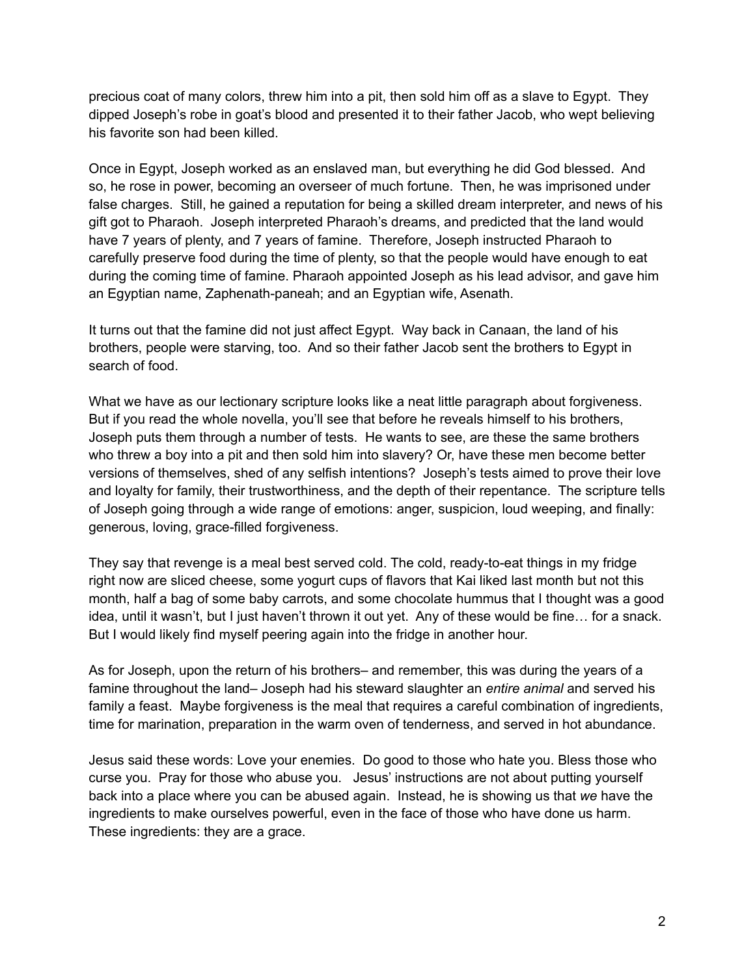precious coat of many colors, threw him into a pit, then sold him off as a slave to Egypt. They dipped Joseph's robe in goat's blood and presented it to their father Jacob, who wept believing his favorite son had been killed.

Once in Egypt, Joseph worked as an enslaved man, but everything he did God blessed. And so, he rose in power, becoming an overseer of much fortune. Then, he was imprisoned under false charges. Still, he gained a reputation for being a skilled dream interpreter, and news of his gift got to Pharaoh. Joseph interpreted Pharaoh's dreams, and predicted that the land would have 7 years of plenty, and 7 years of famine. Therefore, Joseph instructed Pharaoh to carefully preserve food during the time of plenty, so that the people would have enough to eat during the coming time of famine. Pharaoh appointed Joseph as his lead advisor, and gave him an Egyptian name, Zaphenath-paneah; and an Egyptian wife, Asenath.

It turns out that the famine did not just affect Egypt. Way back in Canaan, the land of his brothers, people were starving, too. And so their father Jacob sent the brothers to Egypt in search of food.

What we have as our lectionary scripture looks like a neat little paragraph about forgiveness. But if you read the whole novella, you'll see that before he reveals himself to his brothers, Joseph puts them through a number of tests. He wants to see, are these the same brothers who threw a boy into a pit and then sold him into slavery? Or, have these men become better versions of themselves, shed of any selfish intentions? Joseph's tests aimed to prove their love and loyalty for family, their trustworthiness, and the depth of their repentance. The scripture tells of Joseph going through a wide range of emotions: anger, suspicion, loud weeping, and finally: generous, loving, grace-filled forgiveness.

They say that revenge is a meal best served cold. The cold, ready-to-eat things in my fridge right now are sliced cheese, some yogurt cups of flavors that Kai liked last month but not this month, half a bag of some baby carrots, and some chocolate hummus that I thought was a good idea, until it wasn't, but I just haven't thrown it out yet. Any of these would be fine… for a snack. But I would likely find myself peering again into the fridge in another hour.

As for Joseph, upon the return of his brothers– and remember, this was during the years of a famine throughout the land– Joseph had his steward slaughter an *entire animal* and served his family a feast. Maybe forgiveness is the meal that requires a careful combination of ingredients, time for marination, preparation in the warm oven of tenderness, and served in hot abundance.

Jesus said these words: Love your enemies. Do good to those who hate you. Bless those who curse you. Pray for those who abuse you. Jesus' instructions are not about putting yourself back into a place where you can be abused again. Instead, he is showing us that *we* have the ingredients to make ourselves powerful, even in the face of those who have done us harm. These ingredients: they are a grace.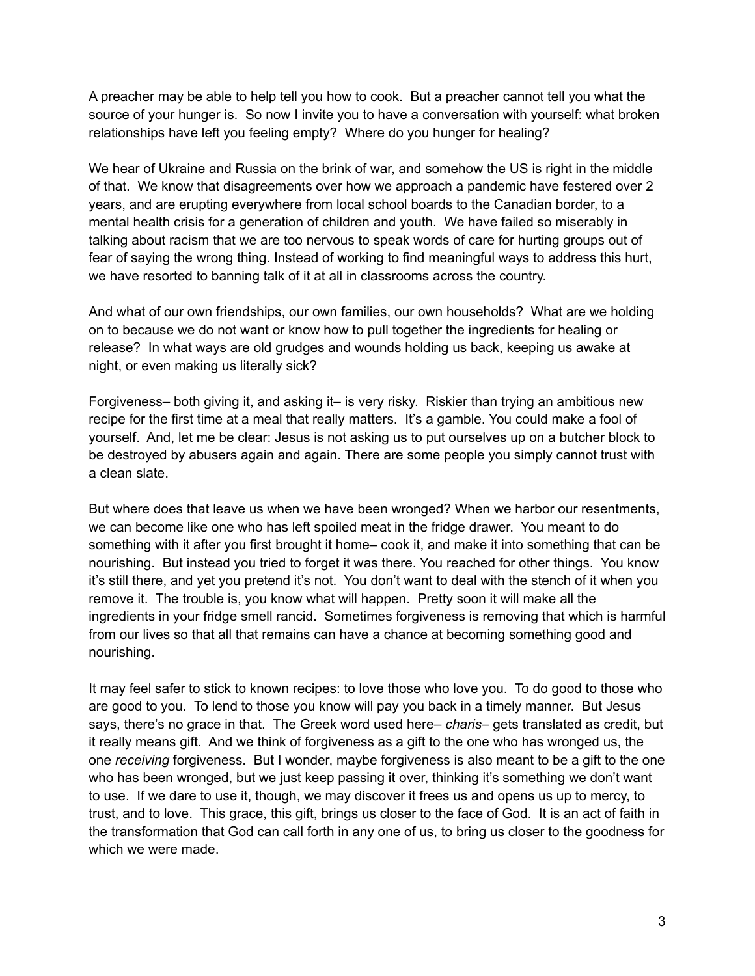A preacher may be able to help tell you how to cook. But a preacher cannot tell you what the source of your hunger is. So now I invite you to have a conversation with yourself: what broken relationships have left you feeling empty? Where do you hunger for healing?

We hear of Ukraine and Russia on the brink of war, and somehow the US is right in the middle of that. We know that disagreements over how we approach a pandemic have festered over 2 years, and are erupting everywhere from local school boards to the Canadian border, to a mental health crisis for a generation of children and youth. We have failed so miserably in talking about racism that we are too nervous to speak words of care for hurting groups out of fear of saying the wrong thing. Instead of working to find meaningful ways to address this hurt, we have resorted to banning talk of it at all in classrooms across the country.

And what of our own friendships, our own families, our own households? What are we holding on to because we do not want or know how to pull together the ingredients for healing or release? In what ways are old grudges and wounds holding us back, keeping us awake at night, or even making us literally sick?

Forgiveness– both giving it, and asking it– is very risky. Riskier than trying an ambitious new recipe for the first time at a meal that really matters. It's a gamble. You could make a fool of yourself. And, let me be clear: Jesus is not asking us to put ourselves up on a butcher block to be destroyed by abusers again and again. There are some people you simply cannot trust with a clean slate.

But where does that leave us when we have been wronged? When we harbor our resentments, we can become like one who has left spoiled meat in the fridge drawer. You meant to do something with it after you first brought it home– cook it, and make it into something that can be nourishing. But instead you tried to forget it was there. You reached for other things. You know it's still there, and yet you pretend it's not. You don't want to deal with the stench of it when you remove it. The trouble is, you know what will happen. Pretty soon it will make all the ingredients in your fridge smell rancid. Sometimes forgiveness is removing that which is harmful from our lives so that all that remains can have a chance at becoming something good and nourishing.

It may feel safer to stick to known recipes: to love those who love you. To do good to those who are good to you. To lend to those you know will pay you back in a timely manner. But Jesus says, there's no grace in that. The Greek word used here– *charis*– gets translated as credit, but it really means gift. And we think of forgiveness as a gift to the one who has wronged us, the one *receiving* forgiveness. But I wonder, maybe forgiveness is also meant to be a gift to the one who has been wronged, but we just keep passing it over, thinking it's something we don't want to use. If we dare to use it, though, we may discover it frees us and opens us up to mercy, to trust, and to love. This grace, this gift, brings us closer to the face of God. It is an act of faith in the transformation that God can call forth in any one of us, to bring us closer to the goodness for which we were made.